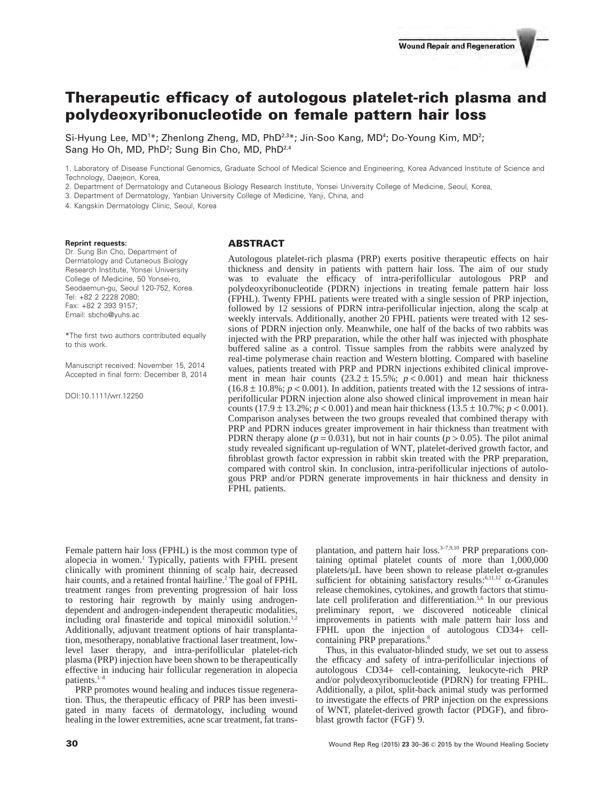# **Therapeutic efficacy of autologous platelet-rich plasma and polydeoxyribonucleotide on female pattern hair loss**

Si-Hyung Lee, MD<sup>1\*</sup>; Zhenlong Zheng, MD, PhD<sup>2,3\*</sup>; Jin-Soo Kang, MD<sup>4</sup>; Do-Young Kim, MD<sup>2</sup>; Sang Ho Oh, MD, PhD<sup>2</sup>; Sung Bin Cho, MD, PhD<sup>2,4</sup>

1. Laboratory of Disease Functional Genomics, Graduate School of Medical Science and Engineering, Korea Advanced Institute of Science and Technology, Daejeon, Korea,

2. Department of Dermatology and Cutaneous Biology Research Institute, Yonsei University College of Medicine, Seoul, Korea,

3. Department of Dermatology, Yanbian University College of Medicine, Yanji, China, and

4. Kangskin Dermatology Clinic, Seoul, Korea

#### **Reprint requests:**

Dr. Sung Bin Cho, Department of Dermatology and Cutaneous Biology Research Institute, Yonsei University College of Medicine, 50 Yonsei-ro, Seodaemun-gu, Seoul 120-752, Korea. Tel: +82 2 2228 2080; Fax: +82 2 393 9157; Email: sbcho@yuhs.ac

\*The first two authors contributed equally to this work.

Manuscript received: November 15, 2014 Accepted in final form: December 8, 2014

DOI:10.1111/wrr.12250

## **ABSTRACT**

Autologous platelet-rich plasma (PRP) exerts positive therapeutic effects on hair thickness and density in patients with pattern hair loss. The aim of our study was to evaluate the efficacy of intra-perifollicular autologous PRP and polydeoxyribonucleotide (PDRN) injections in treating female pattern hair loss (FPHL). Twenty FPHL patients were treated with a single session of PRP injection, followed by 12 sessions of PDRN intra-perifollicular injection, along the scalp at weekly intervals. Additionally, another 20 FPHL patients were treated with 12 sessions of PDRN injection only. Meanwhile, one half of the backs of two rabbits was injected with the PRP preparation, while the other half was injected with phosphate buffered saline as a control. Tissue samples from the rabbits were analyzed by real-time polymerase chain reaction and Western blotting. Compared with baseline values, patients treated with PRP and PDRN injections exhibited clinical improvement in mean hair counts  $(23.2 \pm 15.5\%; p < 0.001)$  and mean hair thickness  $(16.8 \pm 10.8\%; p < 0.001)$ . In addition, patients treated with the 12 sessions of intraperifollicular PDRN injection alone also showed clinical improvement in mean hair counts  $(17.9 \pm 13.2\%; p < 0.001)$  and mean hair thickness  $(13.5 \pm 10.7\%; p < 0.001)$ . Comparison analyses between the two groups revealed that combined therapy with PRP and PDRN induces greater improvement in hair thickness than treatment with PDRN therapy alone ( $p = 0.031$ ), but not in hair counts ( $p > 0.05$ ). The pilot animal study revealed significant up-regulation of WNT, platelet-derived growth factor, and fibroblast growth factor expression in rabbit skin treated with the PRP preparation, compared with control skin. In conclusion, intra-perifollicular injections of autologous PRP and/or PDRN generate improvements in hair thickness and density in FPHL patients.

Female pattern hair loss (FPHL) is the most common type of alopecia in women.<sup>1</sup> Typically, patients with FPHL present clinically with prominent thinning of scalp hair, decreased hair counts, and a retained frontal hairline.<sup>2</sup> The goal of FPHL treatment ranges from preventing progression of hair loss to restoring hair regrowth by mainly using androgendependent and androgen-independent therapeutic modalities, including oral finasteride and topical minoxidil solution.<sup>1</sup> Additionally, adjuvant treatment options of hair transplantation, mesotherapy, nonablative fractional laser treatment, lowlevel laser therapy, and intra-perifollicular platelet-rich plasma (PRP) injection have been shown to be therapeutically effective in inducing hair follicular regeneration in alopecia patients.1–8

PRP promotes wound healing and induces tissue regeneration. Thus, the therapeutic efficacy of PRP has been investigated in many facets of dermatology, including wound healing in the lower extremities, acne scar treatment, fat transplantation, and pattern hair loss.<sup>3-7,9,10</sup> PRP preparations containing optimal platelet counts of more than 1,000,000 platelets/ $\mu$ L have been shown to release platelet  $\alpha$ -granules sufficient for obtaining satisfactory results:6,11,12 α-Granules release chemokines, cytokines, and growth factors that stimulate cell proliferation and differentiation.<sup>5,6</sup> In our previous preliminary report, we discovered noticeable clinical improvements in patients with male pattern hair loss and FPHL upon the injection of autologous CD34+ cellcontaining PRP preparations.<sup>8</sup>

Thus, in this evaluator-blinded study, we set out to assess the efficacy and safety of intra-perifollicular injections of autologous CD34+ cell-containing, leukocyte-rich PRP and/or polydeoxyribonucleotide (PDRN) for treating FPHL. Additionally, a pilot, split-back animal study was performed to investigate the effects of PRP injection on the expressions of WNT, platelet-derived growth factor (PDGF), and fibroblast growth factor (FGF) 9.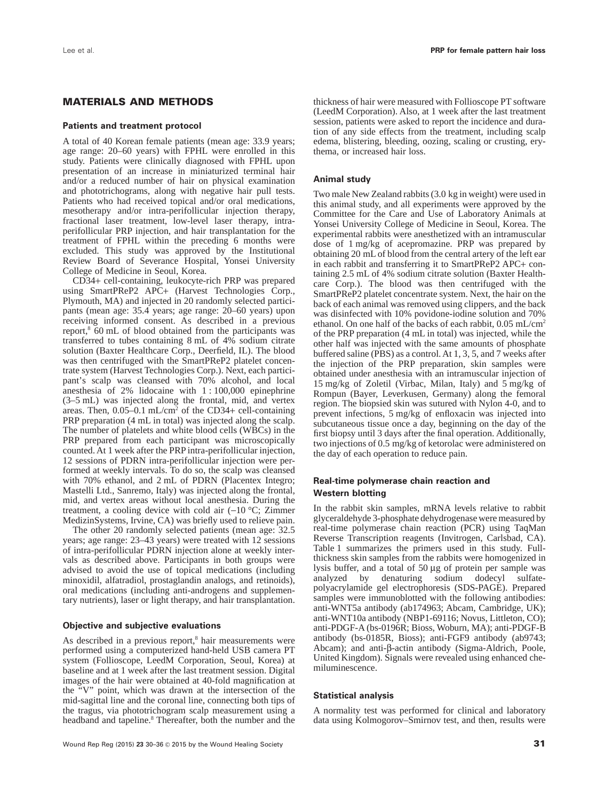# **MATERIALS AND METHODS**

#### **Patients and treatment protocol**

A total of 40 Korean female patients (mean age: 33.9 years; age range: 20–60 years) with FPHL were enrolled in this study. Patients were clinically diagnosed with FPHL upon presentation of an increase in miniaturized terminal hair and/or a reduced number of hair on physical examination and phototrichograms, along with negative hair pull tests. Patients who had received topical and/or oral medications, mesotherapy and/or intra-perifollicular injection therapy, fractional laser treatment, low-level laser therapy, intraperifollicular PRP injection, and hair transplantation for the treatment of FPHL within the preceding 6 months were excluded. This study was approved by the Institutional Review Board of Severance Hospital, Yonsei University College of Medicine in Seoul, Korea.

CD34+ cell-containing, leukocyte-rich PRP was prepared using SmartPReP2 APC+ (Harvest Technologies Corp., Plymouth, MA) and injected in 20 randomly selected participants (mean age: 35.4 years; age range: 20–60 years) upon receiving informed consent. As described in a previous report,8 60 mL of blood obtained from the participants was transferred to tubes containing 8 mL of 4% sodium citrate solution (Baxter Healthcare Corp., Deerfield, IL). The blood was then centrifuged with the SmartPReP2 platelet concentrate system (Harvest Technologies Corp.). Next, each participant's scalp was cleansed with 70% alcohol, and local anesthesia of 2% lidocaine with 1 : 100,000 epinephrine (3–5 mL) was injected along the frontal, mid, and vertex areas. Then, 0.05–0.1 mL/cm<sup>2</sup> of the CD34+ cell-containing PRP preparation (4 mL in total) was injected along the scalp. The number of platelets and white blood cells (WBCs) in the PRP prepared from each participant was microscopically counted. At 1 week after the PRP intra-perifollicular injection, 12 sessions of PDRN intra-perifollicular injection were performed at weekly intervals. To do so, the scalp was cleansed with 70% ethanol, and 2 mL of PDRN (Placentex Integro; Mastelli Ltd., Sanremo, Italy) was injected along the frontal, mid, and vertex areas without local anesthesia. During the treatment, a cooling device with cold air (−10 °C; Zimmer MedizinSystems, Irvine, CA) was briefly used to relieve pain.

The other 20 randomly selected patients (mean age: 32.5 years; age range: 23–43 years) were treated with 12 sessions of intra-perifollicular PDRN injection alone at weekly intervals as described above. Participants in both groups were advised to avoid the use of topical medications (including minoxidil, alfatradiol, prostaglandin analogs, and retinoids), oral medications (including anti-androgens and supplementary nutrients), laser or light therapy, and hair transplantation.

#### **Objective and subjective evaluations**

As described in a previous report,<sup>8</sup> hair measurements were performed using a computerized hand-held USB camera PT system (Follioscope, LeedM Corporation, Seoul, Korea) at baseline and at 1 week after the last treatment session. Digital images of the hair were obtained at 40-fold magnification at the "V" point, which was drawn at the intersection of the mid-sagittal line and the coronal line, connecting both tips of the tragus, via phototrichogram scalp measurement using a headband and tapeline.<sup>8</sup> Thereafter, both the number and the thickness of hair were measured with Follioscope PT software (LeedM Corporation). Also, at 1 week after the last treatment session, patients were asked to report the incidence and duration of any side effects from the treatment, including scalp edema, blistering, bleeding, oozing, scaling or crusting, erythema, or increased hair loss.

#### **Animal study**

Two male New Zealand rabbits (3.0 kg in weight) were used in this animal study, and all experiments were approved by the Committee for the Care and Use of Laboratory Animals at Yonsei University College of Medicine in Seoul, Korea. The experimental rabbits were anesthetized with an intramuscular dose of 1 mg/kg of acepromazine. PRP was prepared by obtaining 20 mL of blood from the central artery of the left ear in each rabbit and transferring it to SmartPReP2 APC+ containing 2.5 mL of 4% sodium citrate solution (Baxter Healthcare Corp.). The blood was then centrifuged with the SmartPReP2 platelet concentrate system. Next, the hair on the back of each animal was removed using clippers, and the back was disinfected with 10% povidone-iodine solution and 70% ethanol. On one half of the backs of each rabbit, 0.05 mL/cm2 of the PRP preparation (4 mL in total) was injected, while the other half was injected with the same amounts of phosphate buffered saline (PBS) as a control. At 1, 3, 5, and 7 weeks after the injection of the PRP preparation, skin samples were obtained under anesthesia with an intramuscular injection of 15 mg/kg of Zoletil (Virbac, Milan, Italy) and 5 mg/kg of Rompun (Bayer, Leverkusen, Germany) along the femoral region. The biopsied skin was sutured with Nylon 4-0, and to prevent infections, 5 mg/kg of enfloxacin was injected into subcutaneous tissue once a day, beginning on the day of the first biopsy until 3 days after the final operation. Additionally, two injections of 0.5 mg/kg of ketorolac were administered on the day of each operation to reduce pain.

## **Real-time polymerase chain reaction and Western blotting**

In the rabbit skin samples, mRNA levels relative to rabbit glyceraldehyde 3-phosphate dehydrogenase were measured by real-time polymerase chain reaction (PCR) using TaqMan Reverse Transcription reagents (Invitrogen, Carlsbad, CA). Table 1 summarizes the primers used in this study. Fullthickness skin samples from the rabbits were homogenized in lysis buffer, and a total of 50 μg of protein per sample was analyzed by denaturing sodium dodecyl sulfatepolyacrylamide gel electrophoresis (SDS-PAGE). Prepared samples were immunoblotted with the following antibodies: anti-WNT5a antibody (ab174963; Abcam, Cambridge, UK); anti-WNT10a antibody (NBP1-69116; Novus, Littleton, CO); anti-PDGF-A (bs-0196R; Bioss, Woburn, MA); anti-PDGF-B antibody (bs-0185R, Bioss); anti-FGF9 antibody (ab9743; Abcam); and anti-β-actin antibody (Sigma-Aldrich, Poole, United Kingdom). Signals were revealed using enhanced chemiluminescence.

#### **Statistical analysis**

A normality test was performed for clinical and laboratory data using Kolmogorov–Smirnov test, and then, results were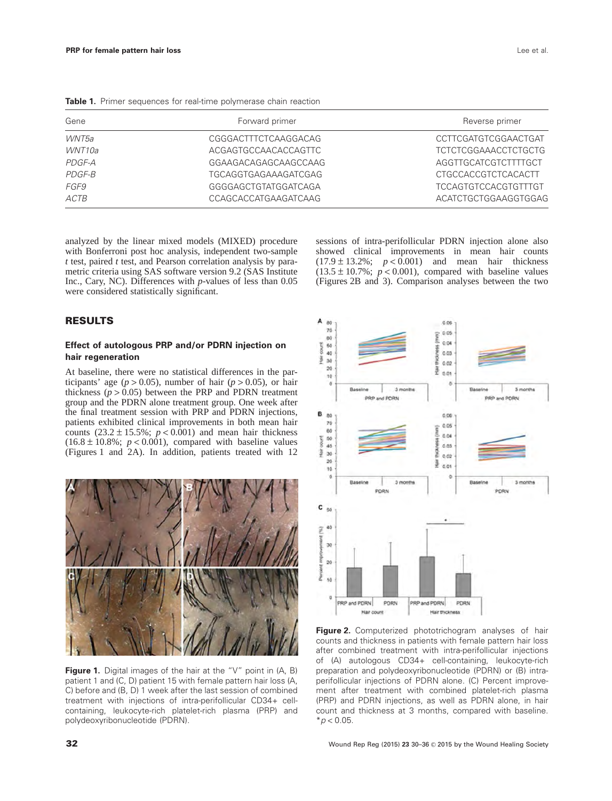| Gene   | Forward primer       | Reverse primer       |  |
|--------|----------------------|----------------------|--|
| WNT5a  | CGGGACTTTCTCAAGGACAG | CCTTCGATGTCGGAACTGAT |  |
| WNT10a | ACGAGTGCCAACACCAGTTC | TCTCTCGGAAACCTCTGCTG |  |
| PDGF-A | GGAAGACAGAGCAAGCCAAG | AGGTTGCATCGTCTTTTGCT |  |
| PDGF-B | TGCAGGTGAGAAAGATCGAG | CTGCCACCGTCTCACACTT  |  |

*FGF9* GGGGAGCTGTATGGATCAGA TCCAGTGTCCACGTGTTTGT ACTB CONSTRUCTGCAGCACCATGAAGATCAAG ACATCTGCTGGAAGGTGGAGGTGGAGGTGGAGGTGGAGGTGGAGGTGGAGGTGGAGGTGGAGGTGGAGGTGGAGG

Table 1. Primer sequences for real-time polymerase chain reaction

analyzed by the linear mixed models (MIXED) procedure with Bonferroni post hoc analysis, independent two-sample *t* test, paired *t* test, and Pearson correlation analysis by parametric criteria using SAS software version 9.2 (SAS Institute Inc., Cary, NC). Differences with *p*-values of less than 0.05 were considered statistically significant.

sessions of intra-perifollicular PDRN injection alone also showed clinical improvements in mean hair counts  $(17.9 \pm 13.2\%)$ ;  $p < 0.001$  and mean hair thickness  $(13.5 \pm 10.7\%; p < 0.001)$ , compared with baseline values (Figures 2B and 3). Comparison analyses between the two

# **RESULTS**

# **Effect of autologous PRP and/or PDRN injection on hair regeneration**

At baseline, there were no statistical differences in the participants' age ( $p > 0.05$ ), number of hair ( $p > 0.05$ ), or hair thickness ( $p > 0.05$ ) between the PRP and PDRN treatment group and the PDRN alone treatment group. One week after the final treatment session with PRP and PDRN injections, patients exhibited clinical improvements in both mean hair counts  $(23.2 \pm 15.5\%; p < 0.001)$  and mean hair thickness  $(16.8 \pm 10.8\%; p < 0.001)$ , compared with baseline values (Figures 1 and 2A). In addition, patients treated with 12



**Figure 1.** Digital images of the hair at the "V" point in (A, B) patient 1 and (C, D) patient 15 with female pattern hair loss (A, C) before and (B, D) 1 week after the last session of combined treatment with injections of intra-perifollicular CD34+ cellcontaining, leukocyte-rich platelet-rich plasma (PRP) and polydeoxyribonucleotide (PDRN).



**Figure 2.** Computerized phototrichogram analyses of hair counts and thickness in patients with female pattern hair loss after combined treatment with intra-perifollicular injections of (A) autologous CD34+ cell-containing, leukocyte-rich preparation and polydeoxyribonucleotide (PDRN) or (B) intraperifollicular injections of PDRN alone. (C) Percent improvement after treatment with combined platelet-rich plasma (PRP) and PDRN injections, as well as PDRN alone, in hair count and thickness at 3 months, compared with baseline.  $*$ *p* < 0.05.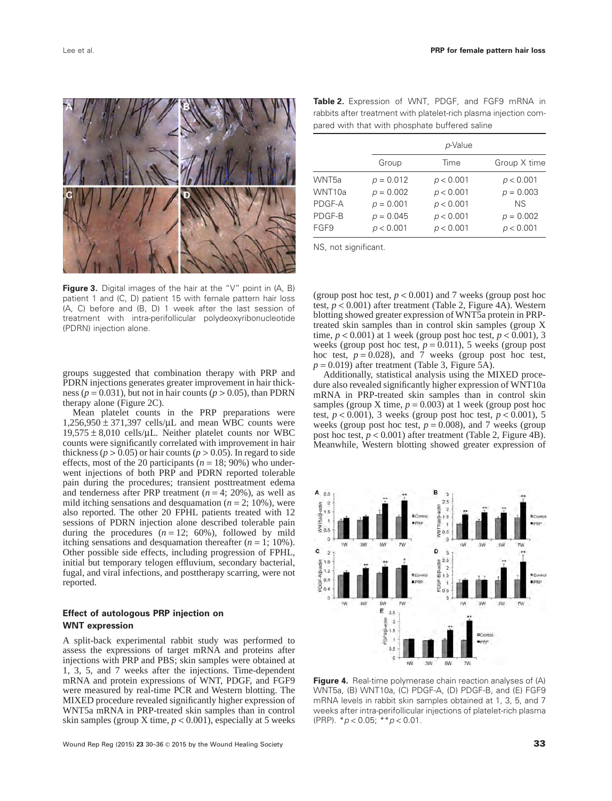

**Figure 3.** Digital images of the hair at the "V" point in (A, B) patient 1 and (C, D) patient 15 with female pattern hair loss (A, C) before and (B, D) 1 week after the last session of treatment with intra-perifollicular polydeoxyribonucleotide (PDRN) injection alone.

groups suggested that combination therapy with PRP and PDRN injections generates greater improvement in hair thickness ( $p = 0.031$ ), but not in hair counts ( $p > 0.05$ ), than PDRN therapy alone (Figure 2C).

Mean platelet counts in the PRP preparations were  $1,256,950 \pm 371,397$  cells/ $\mu$ L and mean WBC counts were  $19,575 \pm 8,010$  cells/ $\mu$ L. Neither platelet counts nor WBC counts were significantly correlated with improvement in hair thickness ( $p > 0.05$ ) or hair counts ( $p > 0.05$ ). In regard to side effects, most of the 20 participants ( $n = 18$ ; 90%) who underwent injections of both PRP and PDRN reported tolerable pain during the procedures; transient posttreatment edema and tenderness after PRP treatment  $(n = 4; 20\%)$ , as well as mild itching sensations and desquamation  $(n = 2; 10\%)$ , were also reported. The other 20 FPHL patients treated with 12 sessions of PDRN injection alone described tolerable pain during the procedures  $(n = 12; 60\%)$ , followed by mild itching sensations and desquamation thereafter  $(n = 1; 10\%)$ . Other possible side effects, including progression of FPHL, initial but temporary telogen effluvium, secondary bacterial, fugal, and viral infections, and posttherapy scarring, were not reported.

## **Effect of autologous PRP injection on WNT expression**

A split-back experimental rabbit study was performed to assess the expressions of target mRNA and proteins after injections with PRP and PBS; skin samples were obtained at 1, 3, 5, and 7 weeks after the injections. Time-dependent mRNA and protein expressions of WNT, PDGF, and FGF9 were measured by real-time PCR and Western blotting. The MIXED procedure revealed significantly higher expression of WNT5a mRNA in PRP-treated skin samples than in control skin samples (group X time,  $p < 0.001$ ), especially at 5 weeks

| Table 2. Expression of WNT, PDGF, and FGF9 mRNA in               |  |  |  |  |
|------------------------------------------------------------------|--|--|--|--|
| rabbits after treatment with platelet-rich plasma injection com- |  |  |  |  |
| pared with that with phosphate buffered saline                   |  |  |  |  |

|                   | p-Value     |           |              |
|-------------------|-------------|-----------|--------------|
|                   | Group       | Time      | Group X time |
| WNT <sub>5a</sub> | $p = 0.012$ | p < 0.001 | p < 0.001    |
| WNT10a            | $p = 0.002$ | p < 0.001 | $p = 0.003$  |
| PDGF-A            | $p = 0.001$ | p < 0.001 | <b>NS</b>    |
| PDGF-B            | $p = 0.045$ | p < 0.001 | $p = 0.002$  |
| FGF9              | p < 0.001   | p < 0.001 | p < 0.001    |

NS, not significant.

(group post hoc test,  $p < 0.001$ ) and 7 weeks (group post hoc test, *p* < 0.001) after treatment (Table 2, Figure 4A). Western blotting showed greater expression of WNT5a protein in PRPtreated skin samples than in control skin samples (group X time,  $p < 0.001$ ) at 1 week (group post hoc test,  $p < 0.001$ ), 3 weeks (group post hoc test,  $p = 0.011$ ), 5 weeks (group post hoc test,  $p = 0.028$ ), and 7 weeks (group post hoc test,  $p = 0.019$ ) after treatment (Table 3, Figure 5A).

Additionally, statistical analysis using the MIXED procedure also revealed significantly higher expression of WNT10a mRNA in PRP-treated skin samples than in control skin samples (group X time,  $p = 0.003$ ) at 1 week (group post hoc test,  $p < 0.001$ ), 3 weeks (group post hoc test,  $p < 0.001$ ), 5 weeks (group post hoc test,  $p = 0.008$ ), and 7 weeks (group post hoc test,  $p < 0.001$ ) after treatment (Table 2, Figure 4B). Meanwhile, Western blotting showed greater expression of



**Figure 4.** Real-time polymerase chain reaction analyses of (A) WNT5a, (B) WNT10a, (C) PDGF-A, (D) PDGF-B, and (E) FGF9 mRNA levels in rabbit skin samples obtained at 1, 3, 5, and 7 weeks after intra-perifollicular injections of platelet-rich plasma (PRP). \**p* < 0.05; \*\**p* < 0.01.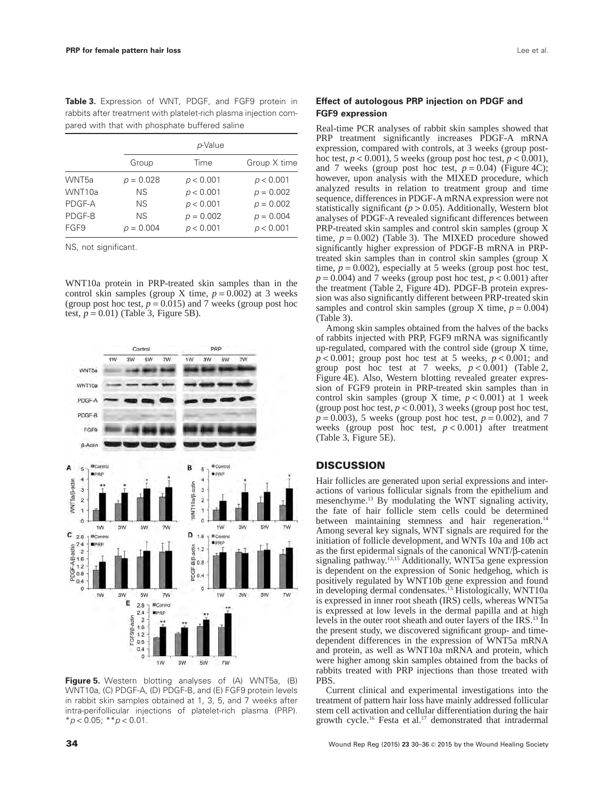**Table 3.** Expression of WNT, PDGF, and FGF9 protein in rabbits after treatment with platelet-rich plasma injection compared with that with phosphate buffered saline

|                   | p-Value     |             |              |
|-------------------|-------------|-------------|--------------|
|                   | Group       | Time        | Group X time |
| WNT <sub>5a</sub> | $p = 0.028$ | p < 0.001   | p < 0.001    |
| WNT10a            | <b>NS</b>   | p < 0.001   | $p = 0.002$  |
| PDGF-A            | NS.         | p < 0.001   | $p = 0.002$  |
| PDGF-B            | NS.         | $p = 0.002$ | $p = 0.004$  |
| FGF9              | $p = 0.004$ | p < 0.001   | p < 0.001    |

NS, not significant.

WNT10a protein in PRP-treated skin samples than in the control skin samples (group X time,  $p = 0.002$ ) at 3 weeks (group post hoc test,  $p = 0.015$ ) and 7 weeks (group post hoc test,  $p = 0.01$ ) (Table 3, Figure 5B).



**Figure 5.** Western blotting analyses of (A) WNT5a, (B) WNT10a, (C) PDGF-A, (D) PDGF-B, and (E) FGF9 protein levels in rabbit skin samples obtained at 1, 3, 5, and 7 weeks after intra-perifollicular injections of platelet-rich plasma (PRP). \**p* < 0.05; \*\**p* < 0.01.

## **Effect of autologous PRP injection on PDGF and FGF9 expression**

Real-time PCR analyses of rabbit skin samples showed that PRP treatment significantly increases PDGF-A mRNA expression, compared with controls, at 3 weeks (group posthoc test,  $p < 0.001$ ), 5 weeks (group post hoc test,  $p < 0.001$ ), and 7 weeks (group post hoc test,  $p = 0.04$ ) (Figure 4C); however, upon analysis with the MIXED procedure, which analyzed results in relation to treatment group and time sequence, differences in PDGF-A mRNA expression were not statistically significant  $(p > 0.05)$ . Additionally, Western blot analyses of PDGF-A revealed significant differences between PRP-treated skin samples and control skin samples (group X time,  $p = 0.002$ ) (Table 3). The MIXED procedure showed significantly higher expression of PDGF-B mRNA in PRPtreated skin samples than in control skin samples (group X time,  $p = 0.002$ ), especially at 5 weeks (group post hoc test,  $p = 0.004$ ) and 7 weeks (group post hoc test,  $p < 0.001$ ) after the treatment (Table 2, Figure 4D). PDGF-B protein expression was also significantly different between PRP-treated skin samples and control skin samples (group X time,  $p = 0.004$ ) (Table 3).

Among skin samples obtained from the halves of the backs of rabbits injected with PRP, FGF9 mRNA was significantly up-regulated, compared with the control side (group X time,  $p < 0.001$ ; group post hoc test at 5 weeks,  $p < 0.001$ ; and group post hoc test at 7 weeks,  $p < 0.001$ ) (Table 2, Figure 4E). Also, Western blotting revealed greater expression of FGF9 protein in PRP-treated skin samples than in control skin samples (group X time,  $p < 0.001$ ) at 1 week (group post hoc test,  $p < 0.001$ ), 3 weeks (group post hoc test,  $p = 0.003$ ), 5 weeks (group post hoc test,  $p = 0.002$ ), and 7 weeks (group post hoc test,  $p < 0.001$ ) after treatment (Table 3, Figure 5E).

# **DISCUSSION**

Hair follicles are generated upon serial expressions and interactions of various follicular signals from the epithelium and mesenchyme.13 By modulating the WNT signaling activity, the fate of hair follicle stem cells could be determined between maintaining stemness and hair regeneration.<sup>14</sup> Among several key signals, WNT signals are required for the initiation of follicle development, and WNTs 10a and 10b act as the first epidermal signals of the canonical WNT/β-catenin signaling pathway.<sup>13,15</sup> Additionally, WNT5a gene expression is dependent on the expression of Sonic hedgehog, which is positively regulated by WNT10b gene expression and found in developing dermal condensates.<sup>13</sup> Histologically, WNT10a is expressed in inner root sheath (IRS) cells, whereas WNT5a is expressed at low levels in the dermal papilla and at high levels in the outer root sheath and outer layers of the IRS.<sup>13</sup> In the present study, we discovered significant group- and timedependent differences in the expression of WNT5a mRNA and protein, as well as WNT10a mRNA and protein, which were higher among skin samples obtained from the backs of rabbits treated with PRP injections than those treated with PBS.

Current clinical and experimental investigations into the treatment of pattern hair loss have mainly addressed follicular stem cell activation and cellular differentiation during the hair growth cycle.16 Festa et al.17 demonstrated that intradermal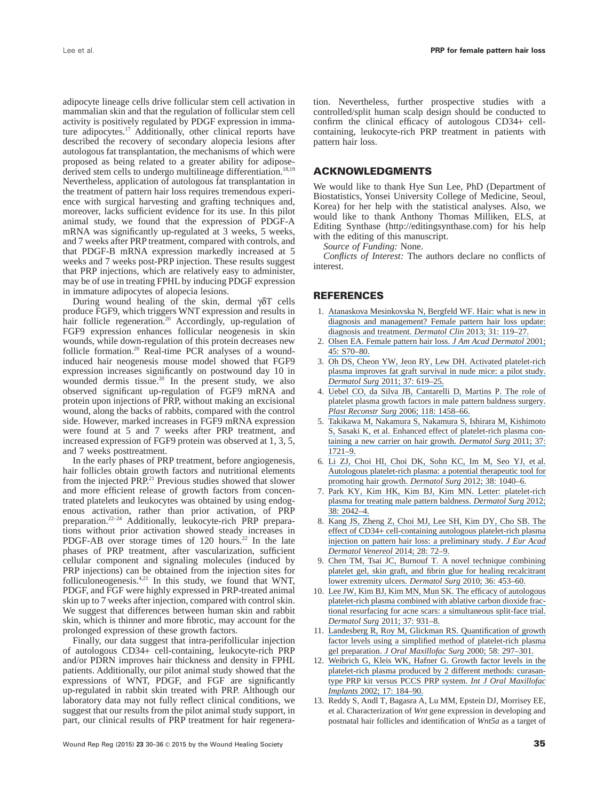adipocyte lineage cells drive follicular stem cell activation in mammalian skin and that the regulation of follicular stem cell activity is positively regulated by PDGF expression in immature adipocytes.17 Additionally, other clinical reports have described the recovery of secondary alopecia lesions after autologous fat transplantation, the mechanisms of which were proposed as being related to a greater ability for adiposederived stem cells to undergo multilineage differentiation.<sup>18,19</sup> Nevertheless, application of autologous fat transplantation in the treatment of pattern hair loss requires tremendous experience with surgical harvesting and grafting techniques and, moreover, lacks sufficient evidence for its use. In this pilot animal study, we found that the expression of PDGF-A mRNA was significantly up-regulated at 3 weeks, 5 weeks, and 7 weeks after PRP treatment, compared with controls, and that PDGF-B mRNA expression markedly increased at 5 weeks and 7 weeks post-PRP injection. These results suggest that PRP injections, which are relatively easy to administer, may be of use in treating FPHL by inducing PDGF expression in immature adipocytes of alopecia lesions.

During wound healing of the skin, dermal γδT cells produce FGF9, which triggers WNT expression and results in hair follicle regeneration.<sup>20</sup> Accordingly, up-regulation of FGF9 expression enhances follicular neogenesis in skin wounds, while down-regulation of this protein decreases new follicle formation.<sup>20</sup> Real-time PCR analyses of a woundinduced hair neogenesis mouse model showed that FGF9 expression increases significantly on postwound day 10 in wounded dermis tissue.<sup>20</sup> In the present study, we also observed significant up-regulation of FGF9 mRNA and protein upon injections of PRP, without making an excisional wound, along the backs of rabbits, compared with the control side. However, marked increases in FGF9 mRNA expression were found at 5 and 7 weeks after PRP treatment, and increased expression of FGF9 protein was observed at 1, 3, 5, and 7 weeks posttreatment.

In the early phases of PRP treatment, before angiogenesis, hair follicles obtain growth factors and nutritional elements from the injected PRP.<sup>21</sup> Previous studies showed that slower and more efficient release of growth factors from concentrated platelets and leukocytes was obtained by using endogenous activation, rather than prior activation, of PRP preparation.22–24 Additionally, leukocyte-rich PRP preparations without prior activation showed steady increases in PDGF-AB over storage times of 120 hours.<sup>22</sup> In the late phases of PRP treatment, after vascularization, sufficient cellular component and signaling molecules (induced by PRP injections) can be obtained from the injection sites for folliculoneogenesis.<sup>4,21</sup> In this study, we found that WNT, PDGF, and FGF were highly expressed in PRP-treated animal skin up to 7 weeks after injection, compared with control skin. We suggest that differences between human skin and rabbit skin, which is thinner and more fibrotic, may account for the prolonged expression of these growth factors.

Finally, our data suggest that intra-perifollicular injection of autologous CD34+ cell-containing, leukocyte-rich PRP and/or PDRN improves hair thickness and density in FPHL patients. Additionally, our pilot animal study showed that the expressions of WNT, PDGF, and FGF are significantly up-regulated in rabbit skin treated with PRP. Although our laboratory data may not fully reflect clinical conditions, we suggest that our results from the pilot animal study support, in part, our clinical results of PRP treatment for hair regenera-

tion. Nevertheless, further prospective studies with a controlled/split human scalp design should be conducted to confirm the clinical efficacy of autologous CD34+ cellcontaining, leukocyte-rich PRP treatment in patients with pattern hair loss.

# **ACKNOWLEDGMENTS**

We would like to thank Hye Sun Lee, PhD (Department of Biostatistics, Yonsei University College of Medicine, Seoul, Korea) for her help with the statistical analyses. Also, we would like to thank Anthony Thomas Milliken, ELS, at Editing Synthase (http://editingsynthase.com) for his help with the editing of this manuscript.

*Source of Funding:* None.

*Conflicts of Interest:* The authors declare no conflicts of interest.

### **REFERENCES**

- 1. [Atanaskova Mesinkovska N, Bergfeld WF. Hair: what is new in](https://www.researchgate.net/publication/233536548_Hair_What_is_New_in_Diagnosis_and_Management_Female_Pattern_Hair_Loss_Update_Diagnosis_and_Treatment?el=1_x_8&enrichId=rgreq-8d248436766cf0b7339ffee4b236ac31-XXX&enrichSource=Y292ZXJQYWdlOzI2OTc2NjUzNDtBUzozMzA4MTYxMzY3Mjg1NzhAMTQ1NTg4NDEyMjA5NA==) [diagnosis and management? Female pattern hair loss update:](https://www.researchgate.net/publication/233536548_Hair_What_is_New_in_Diagnosis_and_Management_Female_Pattern_Hair_Loss_Update_Diagnosis_and_Treatment?el=1_x_8&enrichId=rgreq-8d248436766cf0b7339ffee4b236ac31-XXX&enrichSource=Y292ZXJQYWdlOzI2OTc2NjUzNDtBUzozMzA4MTYxMzY3Mjg1NzhAMTQ1NTg4NDEyMjA5NA==) [diagnosis and treatment.](https://www.researchgate.net/publication/233536548_Hair_What_is_New_in_Diagnosis_and_Management_Female_Pattern_Hair_Loss_Update_Diagnosis_and_Treatment?el=1_x_8&enrichId=rgreq-8d248436766cf0b7339ffee4b236ac31-XXX&enrichSource=Y292ZXJQYWdlOzI2OTc2NjUzNDtBUzozMzA4MTYxMzY3Mjg1NzhAMTQ1NTg4NDEyMjA5NA==) *Dermatol Clin* 2013; 31: 119–27.
- 2. [Olsen EA. Female pattern hair loss.](https://www.researchgate.net/publication/11833297_Female_pattern_hair_loss?el=1_x_8&enrichId=rgreq-8d248436766cf0b7339ffee4b236ac31-XXX&enrichSource=Y292ZXJQYWdlOzI2OTc2NjUzNDtBUzozMzA4MTYxMzY3Mjg1NzhAMTQ1NTg4NDEyMjA5NA==) *J Am Acad Dermatol* 2001; [45: S70–80.](https://www.researchgate.net/publication/11833297_Female_pattern_hair_loss?el=1_x_8&enrichId=rgreq-8d248436766cf0b7339ffee4b236ac31-XXX&enrichSource=Y292ZXJQYWdlOzI2OTc2NjUzNDtBUzozMzA4MTYxMzY3Mjg1NzhAMTQ1NTg4NDEyMjA5NA==)
- 3. [Oh DS, Cheon YW, Jeon RY, Lew DH. Activated platelet-rich](https://www.researchgate.net/publication/51050598_Activated_Platelet-Rich_Plasma_Improves_Fat_Graft_Survival_in_Nude_Mice_A_Pilot_Study?el=1_x_8&enrichId=rgreq-8d248436766cf0b7339ffee4b236ac31-XXX&enrichSource=Y292ZXJQYWdlOzI2OTc2NjUzNDtBUzozMzA4MTYxMzY3Mjg1NzhAMTQ1NTg4NDEyMjA5NA==) [plasma improves fat graft survival in nude mice: a pilot study.](https://www.researchgate.net/publication/51050598_Activated_Platelet-Rich_Plasma_Improves_Fat_Graft_Survival_in_Nude_Mice_A_Pilot_Study?el=1_x_8&enrichId=rgreq-8d248436766cf0b7339ffee4b236ac31-XXX&enrichSource=Y292ZXJQYWdlOzI2OTc2NjUzNDtBUzozMzA4MTYxMzY3Mjg1NzhAMTQ1NTg4NDEyMjA5NA==) *Dermatol Surg* [2011; 37: 619–25.](https://www.researchgate.net/publication/51050598_Activated_Platelet-Rich_Plasma_Improves_Fat_Graft_Survival_in_Nude_Mice_A_Pilot_Study?el=1_x_8&enrichId=rgreq-8d248436766cf0b7339ffee4b236ac31-XXX&enrichSource=Y292ZXJQYWdlOzI2OTc2NjUzNDtBUzozMzA4MTYxMzY3Mjg1NzhAMTQ1NTg4NDEyMjA5NA==)
- 4. [Uebel CO, da Silva JB, Cantarelli D, Martins P. The role of](https://www.researchgate.net/publication/6744961_The_Role_of_Platelet_Plasma_Growth_Factors_in_Male_Pattern_Baldness_Surgery?el=1_x_8&enrichId=rgreq-8d248436766cf0b7339ffee4b236ac31-XXX&enrichSource=Y292ZXJQYWdlOzI2OTc2NjUzNDtBUzozMzA4MTYxMzY3Mjg1NzhAMTQ1NTg4NDEyMjA5NA==) [platelet plasma growth factors in male pattern baldness surgery.](https://www.researchgate.net/publication/6744961_The_Role_of_Platelet_Plasma_Growth_Factors_in_Male_Pattern_Baldness_Surgery?el=1_x_8&enrichId=rgreq-8d248436766cf0b7339ffee4b236ac31-XXX&enrichSource=Y292ZXJQYWdlOzI2OTc2NjUzNDtBUzozMzA4MTYxMzY3Mjg1NzhAMTQ1NTg4NDEyMjA5NA==) *Plast Reconstr Surg* [2006; 118: 1458–66.](https://www.researchgate.net/publication/6744961_The_Role_of_Platelet_Plasma_Growth_Factors_in_Male_Pattern_Baldness_Surgery?el=1_x_8&enrichId=rgreq-8d248436766cf0b7339ffee4b236ac31-XXX&enrichSource=Y292ZXJQYWdlOzI2OTc2NjUzNDtBUzozMzA4MTYxMzY3Mjg1NzhAMTQ1NTg4NDEyMjA5NA==)
- 5. [Takikawa M, Nakamura S, Nakamura S, Ishirara M, Kishimoto](https://www.researchgate.net/publication/51611976_Enhanced_Effect_of_Platelet-Rich_Plasma_Containing_a_New_Carrier_on_Hair_Growth?el=1_x_8&enrichId=rgreq-8d248436766cf0b7339ffee4b236ac31-XXX&enrichSource=Y292ZXJQYWdlOzI2OTc2NjUzNDtBUzozMzA4MTYxMzY3Mjg1NzhAMTQ1NTg4NDEyMjA5NA==) [S, Sasaki K, et al. Enhanced effect of platelet-rich plasma con](https://www.researchgate.net/publication/51611976_Enhanced_Effect_of_Platelet-Rich_Plasma_Containing_a_New_Carrier_on_Hair_Growth?el=1_x_8&enrichId=rgreq-8d248436766cf0b7339ffee4b236ac31-XXX&enrichSource=Y292ZXJQYWdlOzI2OTc2NjUzNDtBUzozMzA4MTYxMzY3Mjg1NzhAMTQ1NTg4NDEyMjA5NA==)[taining a new carrier on hair growth.](https://www.researchgate.net/publication/51611976_Enhanced_Effect_of_Platelet-Rich_Plasma_Containing_a_New_Carrier_on_Hair_Growth?el=1_x_8&enrichId=rgreq-8d248436766cf0b7339ffee4b236ac31-XXX&enrichSource=Y292ZXJQYWdlOzI2OTc2NjUzNDtBUzozMzA4MTYxMzY3Mjg1NzhAMTQ1NTg4NDEyMjA5NA==) *Dermatol Surg* 2011; 37: [1721–9.](https://www.researchgate.net/publication/51611976_Enhanced_Effect_of_Platelet-Rich_Plasma_Containing_a_New_Carrier_on_Hair_Growth?el=1_x_8&enrichId=rgreq-8d248436766cf0b7339ffee4b236ac31-XXX&enrichSource=Y292ZXJQYWdlOzI2OTc2NjUzNDtBUzozMzA4MTYxMzY3Mjg1NzhAMTQ1NTg4NDEyMjA5NA==)
- 6. [Li ZJ, Choi HI, Choi DK, Sohn KC, Im M, Seo YJ, et al.](https://www.researchgate.net/publication/223135425_Autologous_Platelet-Rich_Plasma_A_Potential_Therapeutic_Tool_for_Promoting_Hair_Growth?el=1_x_8&enrichId=rgreq-8d248436766cf0b7339ffee4b236ac31-XXX&enrichSource=Y292ZXJQYWdlOzI2OTc2NjUzNDtBUzozMzA4MTYxMzY3Mjg1NzhAMTQ1NTg4NDEyMjA5NA==) [Autologous platelet-rich plasma: a potential therapeutic tool for](https://www.researchgate.net/publication/223135425_Autologous_Platelet-Rich_Plasma_A_Potential_Therapeutic_Tool_for_Promoting_Hair_Growth?el=1_x_8&enrichId=rgreq-8d248436766cf0b7339ffee4b236ac31-XXX&enrichSource=Y292ZXJQYWdlOzI2OTc2NjUzNDtBUzozMzA4MTYxMzY3Mjg1NzhAMTQ1NTg4NDEyMjA5NA==) [promoting hair growth.](https://www.researchgate.net/publication/223135425_Autologous_Platelet-Rich_Plasma_A_Potential_Therapeutic_Tool_for_Promoting_Hair_Growth?el=1_x_8&enrichId=rgreq-8d248436766cf0b7339ffee4b236ac31-XXX&enrichSource=Y292ZXJQYWdlOzI2OTc2NjUzNDtBUzozMzA4MTYxMzY3Mjg1NzhAMTQ1NTg4NDEyMjA5NA==) *Dermatol Surg* 2012; 38: 1040–6.
- 7. [Park KY, Kim HK, Kim BJ, Kim MN. Letter: platelet-rich](https://www.researchgate.net/publication/233836743_Letter_Platelet-Rich_Plasma_for_Treating_Male_Pattern_Baldness?el=1_x_8&enrichId=rgreq-8d248436766cf0b7339ffee4b236ac31-XXX&enrichSource=Y292ZXJQYWdlOzI2OTc2NjUzNDtBUzozMzA4MTYxMzY3Mjg1NzhAMTQ1NTg4NDEyMjA5NA==) [plasma for treating male pattern baldness.](https://www.researchgate.net/publication/233836743_Letter_Platelet-Rich_Plasma_for_Treating_Male_Pattern_Baldness?el=1_x_8&enrichId=rgreq-8d248436766cf0b7339ffee4b236ac31-XXX&enrichSource=Y292ZXJQYWdlOzI2OTc2NjUzNDtBUzozMzA4MTYxMzY3Mjg1NzhAMTQ1NTg4NDEyMjA5NA==) *Dermatol Surg* 2012; [38: 2042–4.](https://www.researchgate.net/publication/233836743_Letter_Platelet-Rich_Plasma_for_Treating_Male_Pattern_Baldness?el=1_x_8&enrichId=rgreq-8d248436766cf0b7339ffee4b236ac31-XXX&enrichSource=Y292ZXJQYWdlOzI2OTc2NjUzNDtBUzozMzA4MTYxMzY3Mjg1NzhAMTQ1NTg4NDEyMjA5NA==)
- 8. [Kang JS, Zheng Z, Choi MJ, Lee SH, Kim DY, Cho SB. The](https://www.researchgate.net/publication/234030673_The_effect_of_CD34_cell-containing_autologous_platelet-rich_plasma_injection_on_pattern_hair_loss_A_preliminary_study?el=1_x_8&enrichId=rgreq-8d248436766cf0b7339ffee4b236ac31-XXX&enrichSource=Y292ZXJQYWdlOzI2OTc2NjUzNDtBUzozMzA4MTYxMzY3Mjg1NzhAMTQ1NTg4NDEyMjA5NA==) effect of CD34+ [cell-containing autologous platelet-rich plasma](https://www.researchgate.net/publication/234030673_The_effect_of_CD34_cell-containing_autologous_platelet-rich_plasma_injection_on_pattern_hair_loss_A_preliminary_study?el=1_x_8&enrichId=rgreq-8d248436766cf0b7339ffee4b236ac31-XXX&enrichSource=Y292ZXJQYWdlOzI2OTc2NjUzNDtBUzozMzA4MTYxMzY3Mjg1NzhAMTQ1NTg4NDEyMjA5NA==) [injection on pattern hair loss: a preliminary study.](https://www.researchgate.net/publication/234030673_The_effect_of_CD34_cell-containing_autologous_platelet-rich_plasma_injection_on_pattern_hair_loss_A_preliminary_study?el=1_x_8&enrichId=rgreq-8d248436766cf0b7339ffee4b236ac31-XXX&enrichSource=Y292ZXJQYWdlOzI2OTc2NjUzNDtBUzozMzA4MTYxMzY3Mjg1NzhAMTQ1NTg4NDEyMjA5NA==) *J Eur Acad [Dermatol Venereol](https://www.researchgate.net/publication/234030673_The_effect_of_CD34_cell-containing_autologous_platelet-rich_plasma_injection_on_pattern_hair_loss_A_preliminary_study?el=1_x_8&enrichId=rgreq-8d248436766cf0b7339ffee4b236ac31-XXX&enrichSource=Y292ZXJQYWdlOzI2OTc2NjUzNDtBUzozMzA4MTYxMzY3Mjg1NzhAMTQ1NTg4NDEyMjA5NA==)* 2014; 28: 72–9.
- 9. [Chen TM, Tsai JC, Burnouf T. A novel technique combining](https://www.researchgate.net/publication/41620503_A_Novel_Technique_Combining_Platelet_Gel_Skin_Graft_and_Fibrin_Glue_for_Healing_Recalcitrant_Lower_Extremity_Ulcers?el=1_x_8&enrichId=rgreq-8d248436766cf0b7339ffee4b236ac31-XXX&enrichSource=Y292ZXJQYWdlOzI2OTc2NjUzNDtBUzozMzA4MTYxMzY3Mjg1NzhAMTQ1NTg4NDEyMjA5NA==) [platelet gel, skin graft, and fibrin glue for healing recalcitrant](https://www.researchgate.net/publication/41620503_A_Novel_Technique_Combining_Platelet_Gel_Skin_Graft_and_Fibrin_Glue_for_Healing_Recalcitrant_Lower_Extremity_Ulcers?el=1_x_8&enrichId=rgreq-8d248436766cf0b7339ffee4b236ac31-XXX&enrichSource=Y292ZXJQYWdlOzI2OTc2NjUzNDtBUzozMzA4MTYxMzY3Mjg1NzhAMTQ1NTg4NDEyMjA5NA==) [lower extremity ulcers.](https://www.researchgate.net/publication/41620503_A_Novel_Technique_Combining_Platelet_Gel_Skin_Graft_and_Fibrin_Glue_for_Healing_Recalcitrant_Lower_Extremity_Ulcers?el=1_x_8&enrichId=rgreq-8d248436766cf0b7339ffee4b236ac31-XXX&enrichSource=Y292ZXJQYWdlOzI2OTc2NjUzNDtBUzozMzA4MTYxMzY3Mjg1NzhAMTQ1NTg4NDEyMjA5NA==) *Dermatol Surg* 2010; 36: 453–60.
- 10. [Lee JW, Kim BJ, Kim MN, Mun SK. The efficacy of autologous](https://www.researchgate.net/publication/51186076_The_Efficacy_of_Autologous_Platelet_Rich_Plasma_Combined_with_Ablative_Carbon_Dioxide_Fractional_Resurfacing_for_Acne_Scars_A_Simultaneous_Split-Face_Trial?el=1_x_8&enrichId=rgreq-8d248436766cf0b7339ffee4b236ac31-XXX&enrichSource=Y292ZXJQYWdlOzI2OTc2NjUzNDtBUzozMzA4MTYxMzY3Mjg1NzhAMTQ1NTg4NDEyMjA5NA==) [platelet-rich plasma combined with ablative carbon dioxide frac](https://www.researchgate.net/publication/51186076_The_Efficacy_of_Autologous_Platelet_Rich_Plasma_Combined_with_Ablative_Carbon_Dioxide_Fractional_Resurfacing_for_Acne_Scars_A_Simultaneous_Split-Face_Trial?el=1_x_8&enrichId=rgreq-8d248436766cf0b7339ffee4b236ac31-XXX&enrichSource=Y292ZXJQYWdlOzI2OTc2NjUzNDtBUzozMzA4MTYxMzY3Mjg1NzhAMTQ1NTg4NDEyMjA5NA==)[tional resurfacing for acne scars: a simultaneous split-face trial.](https://www.researchgate.net/publication/51186076_The_Efficacy_of_Autologous_Platelet_Rich_Plasma_Combined_with_Ablative_Carbon_Dioxide_Fractional_Resurfacing_for_Acne_Scars_A_Simultaneous_Split-Face_Trial?el=1_x_8&enrichId=rgreq-8d248436766cf0b7339ffee4b236ac31-XXX&enrichSource=Y292ZXJQYWdlOzI2OTc2NjUzNDtBUzozMzA4MTYxMzY3Mjg1NzhAMTQ1NTg4NDEyMjA5NA==) *Dermatol Surg* [2011; 37: 931–8.](https://www.researchgate.net/publication/51186076_The_Efficacy_of_Autologous_Platelet_Rich_Plasma_Combined_with_Ablative_Carbon_Dioxide_Fractional_Resurfacing_for_Acne_Scars_A_Simultaneous_Split-Face_Trial?el=1_x_8&enrichId=rgreq-8d248436766cf0b7339ffee4b236ac31-XXX&enrichSource=Y292ZXJQYWdlOzI2OTc2NjUzNDtBUzozMzA4MTYxMzY3Mjg1NzhAMTQ1NTg4NDEyMjA5NA==)
- 11. [Landesberg R, Roy M, Glickman RS. Quantification of growth](https://www.researchgate.net/publication/12599972_Quantification_of_growth_factor_levels_using_a_simplified_method_of_platelet-rich_plasma_gel_preparation?el=1_x_8&enrichId=rgreq-8d248436766cf0b7339ffee4b236ac31-XXX&enrichSource=Y292ZXJQYWdlOzI2OTc2NjUzNDtBUzozMzA4MTYxMzY3Mjg1NzhAMTQ1NTg4NDEyMjA5NA==) [factor levels using a simplified method of platelet-rich plasma](https://www.researchgate.net/publication/12599972_Quantification_of_growth_factor_levels_using_a_simplified_method_of_platelet-rich_plasma_gel_preparation?el=1_x_8&enrichId=rgreq-8d248436766cf0b7339ffee4b236ac31-XXX&enrichSource=Y292ZXJQYWdlOzI2OTc2NjUzNDtBUzozMzA4MTYxMzY3Mjg1NzhAMTQ1NTg4NDEyMjA5NA==) gel preparation. *[J Oral Maxillofac Surg](https://www.researchgate.net/publication/12599972_Quantification_of_growth_factor_levels_using_a_simplified_method_of_platelet-rich_plasma_gel_preparation?el=1_x_8&enrichId=rgreq-8d248436766cf0b7339ffee4b236ac31-XXX&enrichSource=Y292ZXJQYWdlOzI2OTc2NjUzNDtBUzozMzA4MTYxMzY3Mjg1NzhAMTQ1NTg4NDEyMjA5NA==)* 2000; 58: 297–301.
- 12. [Weibrich G, Kleis WK, Hafner G. Growth factor levels in the](https://www.researchgate.net/publication/11409728_Growth_Factor_Levels_in_the_Platelet-rich_Plasma_Produced_by_2_Different_Methods_Curasan-type_PRP_Kit_Versus_PCCS_PRP_System?el=1_x_8&enrichId=rgreq-8d248436766cf0b7339ffee4b236ac31-XXX&enrichSource=Y292ZXJQYWdlOzI2OTc2NjUzNDtBUzozMzA4MTYxMzY3Mjg1NzhAMTQ1NTg4NDEyMjA5NA==) [platelet-rich plasma produced by 2 different methods: curasan](https://www.researchgate.net/publication/11409728_Growth_Factor_Levels_in_the_Platelet-rich_Plasma_Produced_by_2_Different_Methods_Curasan-type_PRP_Kit_Versus_PCCS_PRP_System?el=1_x_8&enrichId=rgreq-8d248436766cf0b7339ffee4b236ac31-XXX&enrichSource=Y292ZXJQYWdlOzI2OTc2NjUzNDtBUzozMzA4MTYxMzY3Mjg1NzhAMTQ1NTg4NDEyMjA5NA==)[type PRP kit versus PCCS PRP system.](https://www.researchgate.net/publication/11409728_Growth_Factor_Levels_in_the_Platelet-rich_Plasma_Produced_by_2_Different_Methods_Curasan-type_PRP_Kit_Versus_PCCS_PRP_System?el=1_x_8&enrichId=rgreq-8d248436766cf0b7339ffee4b236ac31-XXX&enrichSource=Y292ZXJQYWdlOzI2OTc2NjUzNDtBUzozMzA4MTYxMzY3Mjg1NzhAMTQ1NTg4NDEyMjA5NA==) *Int J Oral Maxillofac Implants* [2002; 17: 184–90.](https://www.researchgate.net/publication/11409728_Growth_Factor_Levels_in_the_Platelet-rich_Plasma_Produced_by_2_Different_Methods_Curasan-type_PRP_Kit_Versus_PCCS_PRP_System?el=1_x_8&enrichId=rgreq-8d248436766cf0b7339ffee4b236ac31-XXX&enrichSource=Y292ZXJQYWdlOzI2OTc2NjUzNDtBUzozMzA4MTYxMzY3Mjg1NzhAMTQ1NTg4NDEyMjA5NA==)
- 13. Reddy S, Andl T, Bagasra A, Lu MM, Epstein DJ, Morrisey EE, et al. Characterization of *Wnt* gene expression in developing and postnatal hair follicles and identification of *Wnt5a* as a target of